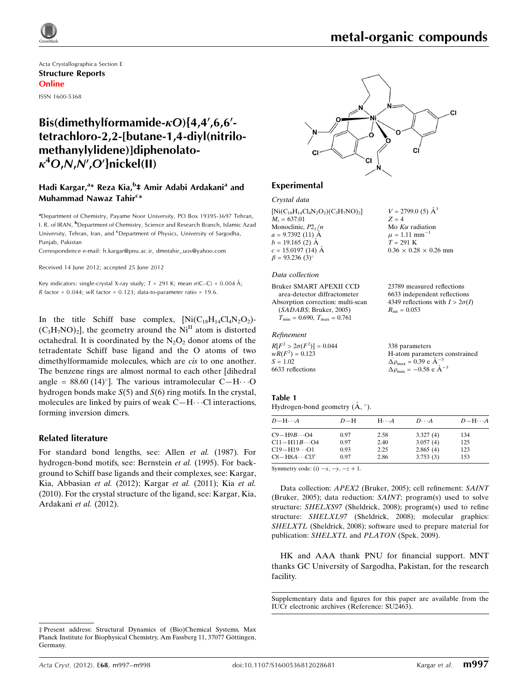

 $V = 2799.0$  (5)  $\AA^3$ 

Mo  $K\alpha$  radiation  $\mu = 1.11$  mm<sup>-1</sup>  $T = 291$  K

 $R_{\rm int} = 0.053$ 

338 parameters

 $\Delta \rho_{\text{max}} = 0.39 \text{ e A}^{-3}$  $\Delta \rho_{\text{min}} = -0.58 \text{ e A}^{-3}$ 

 $0.36 \times 0.28 \times 0.26$  mm

23789 measured reflections 6633 independent reflections 4349 reflections with  $I > 2\sigma(I)$ 

H-atom parameters constrained

 $Z = 4$ 

Acta Crystallographica Section E Structure Reports Online

#### ISSN 1600-5368

# Bis(dimethylformamide- $\kappa$ O){4,4',6,6'tetrachloro-2,2-[butane-1,4-diyl(nitrilomethanylylidene)]diphenolato- $\kappa^4$ O,N,N',O'}nickel(II)

## Hadi Kargar,<sup>a</sup>\* Reza Kia,<sup>b</sup>‡ Amir Adabi Ardakani<sup>a</sup> and Muhammad Nawaz Tahir<sup>c</sup>\*

<sup>a</sup> Department of Chemistry, Payame Noor University, PO Box 19395-3697 Tehran, I. R. of IRAN, <sup>b</sup>Department of Chemistry, Science and Research Branch, Islamic Azad University, Tehran, Iran, and <sup>c</sup>Department of Physics, University of Sargodha, Punjab, Pakistan

Correspondence e-mail: [h.kargar@pnu.ac.ir, dmntahir\\_uos@yahoo.com](http://scripts.iucr.org/cgi-bin/cr.cgi?rm=pdfbb&cnor=su2463&bbid=BB9)

Received 14 June 2012; accepted 25 June 2012

Key indicators: single-crystal X-ray study;  $T = 291$  K; mean  $\sigma$ (C–C) = 0.004 Å; R factor =  $0.044$ ; wR factor =  $0.123$ ; data-to-parameter ratio = 19.6.

In the title Schiff base complex,  $\text{Ni}(C_{18}H_{14}Cl_4N_2O_2)$ - $(C_3H_7NO)_2$ , the geometry around the Ni<sup>II</sup> atom is distorted octahedral. It is coordinated by the  $N_2O_2$  donor atoms of the tetradentate Schiff base ligand and the O atoms of two dimethylformamide molecules, which are cis to one another. The benzene rings are almost normal to each other [dihedral angle =  $88.60 \,(14)^\circ$ ]. The various intramolecular C-H $\cdot \cdot$  O hydrogen bonds make  $S(5)$  and  $S(6)$  ring motifs. In the crystal, molecules are linked by pairs of weak  $C-H\cdots$ Cl interactions, forming inversion dimers.

#### Related literature

For standard bond lengths, see: Allen et al. (1987). For hydrogen-bond motifs, see: Bernstein et al. (1995). For background to Schiff base ligands and their complexes, see: Kargar, Kia, Abbasian et al. (2012); Kargar et al. (2011); Kia et al. (2010). For the crystal structure of the ligand, see: Kargar, Kia, Ardakani et al. (2012).



## Experimental

#### Crystal data

 $[Ni(C_{18}H_{14}Cl_4N_2O_2)(C_3H_7NO)_2]$  $M_r = 637.01$ Monoclinic,  $P2<sub>1</sub>/n$  $a = 9.7392(11)$  Å  $b = 19.165(2)$   $\AA$  $c = 15.0197(14)$  Å  $\beta = 93.236$  (3)<sup>o</sup>

#### Data collection

Bruker SMART APEXII CCD area-detector diffractometer Absorption correction: multi-scan (SADABS; Bruker, 2005)  $T_{\text{min}} = 0.690, T_{\text{max}} = 0.761$ 

#### Refinement

 $R[F^2 > 2\sigma(F^2)] = 0.044$  $wR(F^2) = 0.123$  $S = 1.02$ 6633 reflections

## Table 1

| Hydrogen-bond geometry $(A, \circ)$ . |  |  |
|---------------------------------------|--|--|

| $D-H$ | $H \cdot \cdot \cdot A$ | $D\cdots A$ | $D - H \cdots A$ |
|-------|-------------------------|-------------|------------------|
| 0.97  | 2.58                    | 3.327(4)    | 134              |
| 0.97  | 2.40                    | 3.057(4)    | 125              |
| 0.93  | 2.25                    | 2.865(4)    | 123              |
| 0.97  | 2.86                    | 3.753(3)    | 153              |
|       |                         |             |                  |

Symmetry code: (i)  $-x$ ,  $-y$ ,  $-z + 1$ .

Data collection: APEX2 (Bruker, 2005); cell refinement: SAINT (Bruker, 2005); data reduction: SAINT; program(s) used to solve structure: SHELXS97 (Sheldrick, 2008); program(s) used to refine structure: SHELXL97 (Sheldrick, 2008); molecular graphics: SHELXTL (Sheldrick, 2008); software used to prepare material for publication: SHELXTL and PLATON (Spek, 2009).

HK and AAA thank PNU for financial support. MNT thanks GC University of Sargodha, Pakistan, for the research facility.

Supplementary data and figures for this paper are available from the IUCr electronic archives (Reference: SU2463).

<sup>‡</sup> Present address: Structural Dynamics of (Bio)Chemical Systems, Max Planck Institute for Biophysical Chemistry, Am Fassberg 11, 37077 Göttingen, Germany.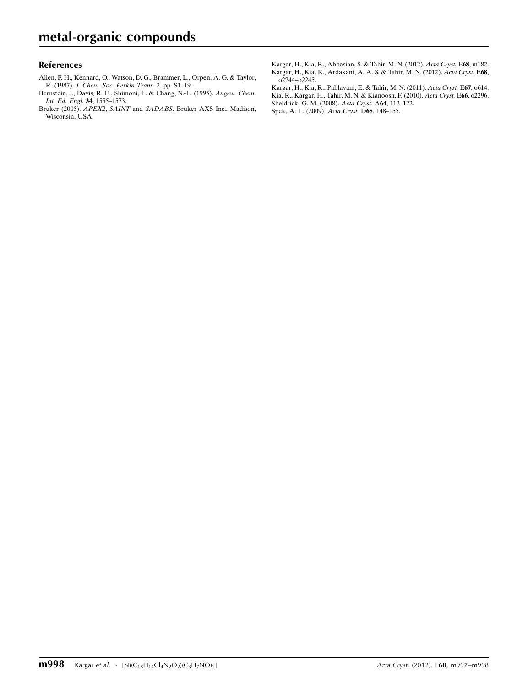#### References

- [Allen, F. H., Kennard, O., Watson, D. G., Brammer, L., Orpen, A. G. & Taylor,](http://scripts.iucr.org/cgi-bin/cr.cgi?rm=pdfbb&cnor=su2463&bbid=BB1) R. (1987). [J. Chem. Soc. Perkin Trans. 2](http://scripts.iucr.org/cgi-bin/cr.cgi?rm=pdfbb&cnor=su2463&bbid=BB1), pp. S1–19.
- [Bernstein, J., Davis, R. E., Shimoni, L. & Chang, N.-L. \(1995\).](http://scripts.iucr.org/cgi-bin/cr.cgi?rm=pdfbb&cnor=su2463&bbid=BB2) Angew. Chem. [Int. Ed. Engl.](http://scripts.iucr.org/cgi-bin/cr.cgi?rm=pdfbb&cnor=su2463&bbid=BB2) 34, 1555–1573.
- Bruker (2005). APEX2, SAINT and SADABS[. Bruker AXS Inc., Madison,](http://scripts.iucr.org/cgi-bin/cr.cgi?rm=pdfbb&cnor=su2463&bbid=BB3) [Wisconsin, USA.](http://scripts.iucr.org/cgi-bin/cr.cgi?rm=pdfbb&cnor=su2463&bbid=BB3)

[Kargar, H., Kia, R., Abbasian, S. & Tahir, M. N. \(2012\).](http://scripts.iucr.org/cgi-bin/cr.cgi?rm=pdfbb&cnor=su2463&bbid=BB4) Acta Cryst. E68, m182. [Kargar, H., Kia, R., Ardakani, A. A. S. & Tahir, M. N. \(2012\).](http://scripts.iucr.org/cgi-bin/cr.cgi?rm=pdfbb&cnor=su2463&bbid=BB5) Acta Cryst. E68, [o2244–o2245.](http://scripts.iucr.org/cgi-bin/cr.cgi?rm=pdfbb&cnor=su2463&bbid=BB5)

[Kargar, H., Kia, R., Pahlavani, E. & Tahir, M. N. \(2011\).](http://scripts.iucr.org/cgi-bin/cr.cgi?rm=pdfbb&cnor=su2463&bbid=BB6) Acta Cryst. E67, o614. [Kia, R., Kargar, H., Tahir, M. N. & Kianoosh, F. \(2010\).](http://scripts.iucr.org/cgi-bin/cr.cgi?rm=pdfbb&cnor=su2463&bbid=BB7) Acta Cryst. E66, o2296. [Sheldrick, G. M. \(2008\).](http://scripts.iucr.org/cgi-bin/cr.cgi?rm=pdfbb&cnor=su2463&bbid=BB8) Acta Cryst. A64, 112–122. [Spek, A. L. \(2009\).](http://scripts.iucr.org/cgi-bin/cr.cgi?rm=pdfbb&cnor=su2463&bbid=BB9) Acta Cryst. D65, 148–155.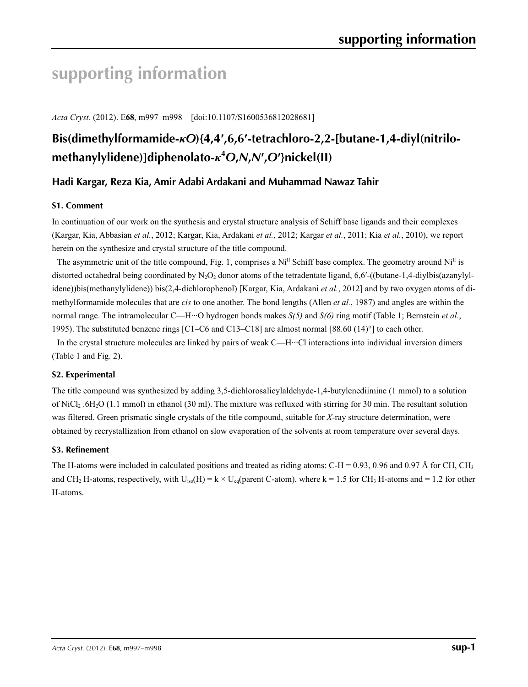# **supporting information**

*Acta Cryst.* (2012). E**68**, m997–m998 [doi:10.1107/S1600536812028681]

# **Bis(dimethylformamide-***κO***){4,4′,6,6′-tetrachloro-2,2-[butane-1,4-diyl(nitrilomethanylylidene)]diphenolato-***κ***<sup>4</sup>** *O***,***N***,***N***′ ,***O***′}nickel(II)**

## **Hadi Kargar, Reza Kia, Amir Adabi Ardakani and Muhammad Nawaz Tahir**

### **S1. Comment**

In continuation of our work on the synthesis and crystal structure analysis of Schiff base ligands and their complexes (Kargar, Kia, Abbasian *et al.*, 2012; Kargar, Kia, Ardakani *et al.*, 2012; Kargar *et al.*, 2011; Kia *et al.*, 2010), we report herein on the synthesize and crystal structure of the title compound.

The asymmetric unit of the title compound, Fig. 1, comprises a Ni<sup>II</sup> Schiff base complex. The geometry around Ni<sup>II</sup> is distorted octahedral being coordinated by  $N_2O_2$  donor atoms of the tetradentate ligand, 6,6′-((butane-1,4-diylbis(azanylylidene))bis(methanylylidene)) bis(2,4-dichlorophenol) [Kargar, Kia, Ardakani *et al.*, 2012] and by two oxygen atoms of dimethylformamide molecules that are *cis* to one another. The bond lengths (Allen *et al.*, 1987) and angles are within the normal range. The intramolecular C—H···O hydrogen bonds makes *S(5)* and *S(6)* ring motif (Table 1; Bernstein *et al.*, 1995). The substituted benzene rings [C1–C6 and C13–C18] are almost normal [88.60 (14)°] to each other.

In the crystal structure molecules are linked by pairs of weak C—H···Cl interactions into individual inversion dimers (Table 1 and Fig. 2).

### **S2. Experimental**

The title compound was synthesized by adding 3,5-dichlorosalicylaldehyde-1,4-butylenediimine (1 mmol) to a solution of NiCl2 .6H2O (1.1 mmol) in ethanol (30 ml). The mixture was refluxed with stirring for 30 min. The resultant solution was filtered. Green prismatic single crystals of the title compound, suitable for *X*-ray structure determination, were obtained by recrystallization from ethanol on slow evaporation of the solvents at room temperature over several days.

#### **S3. Refinement**

The H-atoms were included in calculated positions and treated as riding atoms: C-H = 0.93, 0.96 and 0.97 Å for CH, CH<sub>3</sub> and CH<sub>2</sub> H-atoms, respectively, with  $U_{iso}(H) = k \times U_{eq}(parent C-atom)$ , where  $k = 1.5$  for CH<sub>3</sub> H-atoms and = 1.2 for other H-atoms.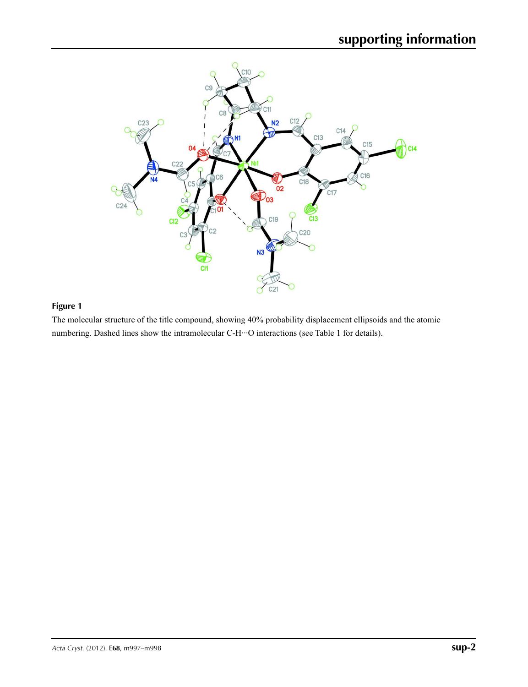

## **Figure 1**

The molecular structure of the title compound, showing 40% probability displacement ellipsoids and the atomic numbering. Dashed lines show the intramolecular C-H···O interactions (see Table 1 for details).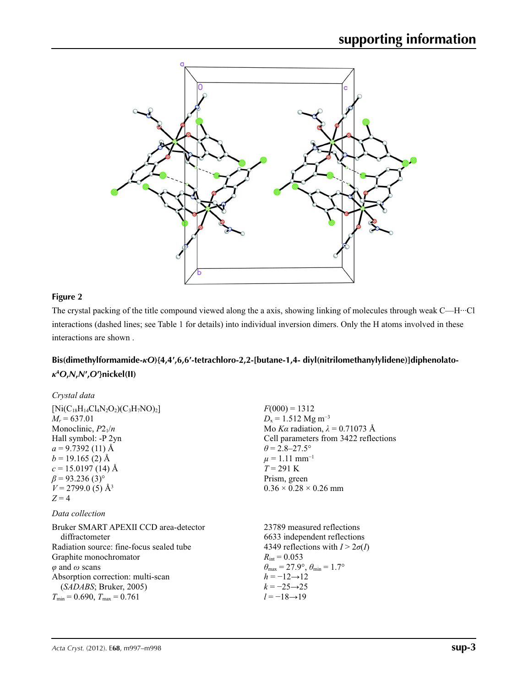

### **Figure 2**

The crystal packing of the title compound viewed along the a axis, showing linking of molecules through weak C—H···Cl interactions (dashed lines; see Table 1 for details) into individual inversion dimers. Only the H atoms involved in these interactions are shown .

## **Bis(dimethylformamide-***κO***){4,4′,6,6′-tetrachloro-2,2-[butane-1,4- diyl(nitrilomethanylylidene)]diphenolato***κ***4** *O***,***N***,***N***′,***O***′}nickel(II)**

| Crystal data                               |                                                                         |
|--------------------------------------------|-------------------------------------------------------------------------|
| $[Ni(C_{18}H_{14}Cl_4N_2O_2)(C_3H_7NO)_2]$ | $F(000) = 1312$                                                         |
| $M_r = 637.01$                             | $D_x = 1.512$ Mg m <sup>-3</sup>                                        |
| Monoclinic, $P2_1/n$                       | Mo Ka radiation, $\lambda = 0.71073$ Å                                  |
| Hall symbol: -P 2yn                        | Cell parameters from 3422 reflections                                   |
| $a = 9.7392(11)$ Å                         | $\theta$ = 2.8–27.5°                                                    |
| $b = 19.165$ (2) Å                         | $\mu = 1.11$ mm <sup>-1</sup>                                           |
| $c = 15.0197(14)$ Å                        | $T = 291$ K                                                             |
| $\beta$ = 93.236 (3) <sup>o</sup>          | Prism, green                                                            |
| $V = 2799.0$ (5) Å <sup>3</sup>            | $0.36 \times 0.28 \times 0.26$ mm                                       |
| $Z=4$                                      |                                                                         |
| Data collection                            |                                                                         |
| Bruker SMART APEXII CCD area-detector      | 23789 measured reflections                                              |
| diffractometer                             | 6633 independent reflections                                            |
| Radiation source: fine-focus sealed tube   | 4349 reflections with $I > 2\sigma(I)$                                  |
| Graphite monochromator                     | $R_{\text{int}} = 0.053$                                                |
| $\varphi$ and $\omega$ scans               | $\theta_{\text{max}} = 27.9^{\circ}, \theta_{\text{min}} = 1.7^{\circ}$ |
| Absorption correction: multi-scan          | $h = -12 \rightarrow 12$                                                |
| (SADABS; Bruker, 2005)                     | $k = -25 \rightarrow 25$                                                |
| $T_{\min}$ = 0.690, $T_{\max}$ = 0.761     | $l = -18 \rightarrow 19$                                                |
|                                            |                                                                         |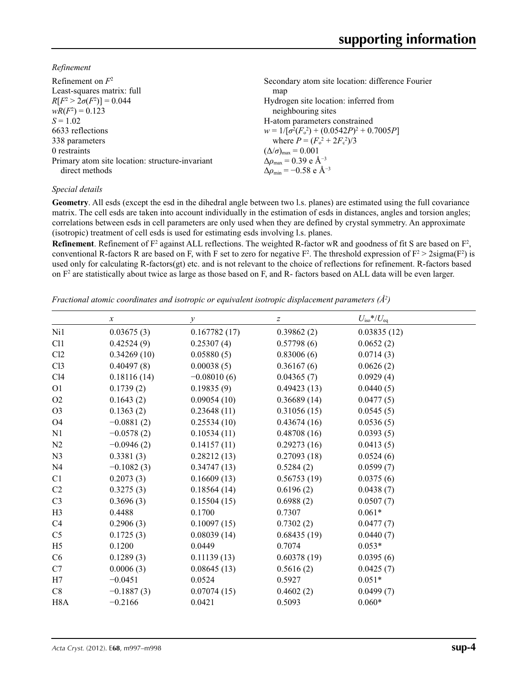*Refinement*

| Refinement on $F^2$                             | Secondary atom site location: difference Fourier  |
|-------------------------------------------------|---------------------------------------------------|
| Least-squares matrix: full                      | map                                               |
| $R[F^2 > 2\sigma(F^2)] = 0.044$                 | Hydrogen site location: inferred from             |
| $wR(F^2) = 0.123$                               | neighbouring sites                                |
| $S = 1.02$                                      | H-atom parameters constrained                     |
| 6633 reflections                                | $w = 1/[\sigma^2(F_0^2) + (0.0542P)^2 + 0.7005P]$ |
| 338 parameters                                  | where $P = (F_0^2 + 2F_c^2)/3$                    |
| 0 restraints                                    | $(\Delta/\sigma)_{\text{max}} = 0.001$            |
| Primary atom site location: structure-invariant | $\Delta\rho_{\text{max}} = 0.39 \text{ e A}^{-3}$ |
| direct methods                                  | $\Delta\rho_{\rm min} = -0.58$ e Å <sup>-3</sup>  |

#### *Special details*

**Geometry**. All esds (except the esd in the dihedral angle between two l.s. planes) are estimated using the full covariance matrix. The cell esds are taken into account individually in the estimation of esds in distances, angles and torsion angles; correlations between esds in cell parameters are only used when they are defined by crystal symmetry. An approximate (isotropic) treatment of cell esds is used for estimating esds involving l.s. planes.

**Refinement**. Refinement of  $F^2$  against ALL reflections. The weighted R-factor wR and goodness of fit S are based on  $F^2$ , conventional R-factors R are based on F, with F set to zero for negative  $F^2$ . The threshold expression of  $F^2 > 2 \text{sigma}(F^2)$  is used only for calculating R-factors(gt) etc. and is not relevant to the choice of reflections for refinement. R-factors based on  $F<sup>2</sup>$  are statistically about twice as large as those based on F, and R- factors based on ALL data will be even larger.

*Fractional atomic coordinates and isotropic or equivalent isotropic displacement parameters (Å<sup>2</sup>)* 

|                  | $\boldsymbol{x}$ | $\mathcal{Y}$ | Z           | $U_{\rm iso}*/U_{\rm eq}$ |  |
|------------------|------------------|---------------|-------------|---------------------------|--|
| Ni1              | 0.03675(3)       | 0.167782(17)  | 0.39862(2)  | 0.03835(12)               |  |
| C11              | 0.42524(9)       | 0.25307(4)    | 0.57798(6)  | 0.0652(2)                 |  |
| Cl2              | 0.34269(10)      | 0.05880(5)    | 0.83006(6)  | 0.0714(3)                 |  |
| Cl <sub>3</sub>  | 0.40497(8)       | 0.00038(5)    | 0.36167(6)  | 0.0626(2)                 |  |
| C14              | 0.18116(14)      | $-0.08010(6)$ | 0.04365(7)  | 0.0929(4)                 |  |
| O <sub>1</sub>   | 0.1739(2)        | 0.19835(9)    | 0.49423(13) | 0.0440(5)                 |  |
| O2               | 0.1643(2)        | 0.09054(10)   | 0.36689(14) | 0.0477(5)                 |  |
| O <sub>3</sub>   | 0.1363(2)        | 0.23648(11)   | 0.31056(15) | 0.0545(5)                 |  |
| O <sub>4</sub>   | $-0.0881(2)$     | 0.25534(10)   | 0.43674(16) | 0.0536(5)                 |  |
| N1               | $-0.0578(2)$     | 0.10534(11)   | 0.48708(16) | 0.0393(5)                 |  |
| N2               | $-0.0946(2)$     | 0.14157(11)   | 0.29273(16) | 0.0413(5)                 |  |
| N <sub>3</sub>   | 0.3381(3)        | 0.28212(13)   | 0.27093(18) | 0.0524(6)                 |  |
| N <sub>4</sub>   | $-0.1082(3)$     | 0.34747(13)   | 0.5284(2)   | 0.0599(7)                 |  |
| C <sub>1</sub>   | 0.2073(3)        | 0.16609(13)   | 0.56753(19) | 0.0375(6)                 |  |
| C2               | 0.3275(3)        | 0.18564(14)   | 0.6196(2)   | 0.0438(7)                 |  |
| C <sub>3</sub>   | 0.3696(3)        | 0.15504(15)   | 0.6988(2)   | 0.0507(7)                 |  |
| H <sub>3</sub>   | 0.4488           | 0.1700        | 0.7307      | $0.061*$                  |  |
| C4               | 0.2906(3)        | 0.10097(15)   | 0.7302(2)   | 0.0477(7)                 |  |
| C <sub>5</sub>   | 0.1725(3)        | 0.08039(14)   | 0.68435(19) | 0.0440(7)                 |  |
| H <sub>5</sub>   | 0.1200           | 0.0449        | 0.7074      | $0.053*$                  |  |
| C <sub>6</sub>   | 0.1289(3)        | 0.11139(13)   | 0.60378(19) | 0.0395(6)                 |  |
| C7               | 0.0006(3)        | 0.08645(13)   | 0.5616(2)   | 0.0425(7)                 |  |
| H7               | $-0.0451$        | 0.0524        | 0.5927      | $0.051*$                  |  |
| C8               | $-0.1887(3)$     | 0.07074(15)   | 0.4602(2)   | 0.0499(7)                 |  |
| H <sub>8</sub> A | $-0.2166$        | 0.0421        | 0.5093      | $0.060*$                  |  |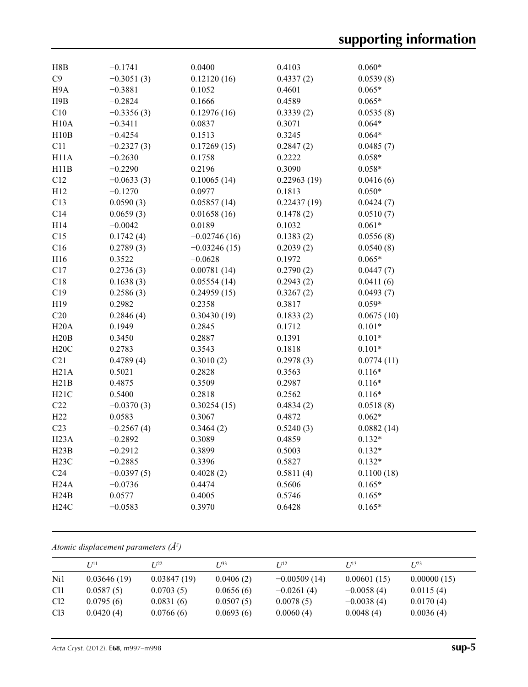| H8B               | $-0.1741$    | 0.0400         | 0.4103      | $0.060*$   |
|-------------------|--------------|----------------|-------------|------------|
| C9                | $-0.3051(3)$ | 0.12120(16)    | 0.4337(2)   | 0.0539(8)  |
| H <sub>9</sub> A  | $-0.3881$    | 0.1052         | 0.4601      | $0.065*$   |
| H9B               | $-0.2824$    | 0.1666         | 0.4589      | $0.065*$   |
| C10               | $-0.3356(3)$ | 0.12976(16)    | 0.3339(2)   | 0.0535(8)  |
| H10A              | $-0.3411$    | 0.0837         | 0.3071      | $0.064*$   |
| H10B              | $-0.4254$    | 0.1513         | 0.3245      | $0.064*$   |
| C11               | $-0.2327(3)$ | 0.17269(15)    | 0.2847(2)   | 0.0485(7)  |
| H <sub>11</sub> A | $-0.2630$    | 0.1758         | 0.2222      | $0.058*$   |
| H11B              | $-0.2290$    | 0.2196         | 0.3090      | $0.058*$   |
| C12               | $-0.0633(3)$ | 0.10065(14)    | 0.22963(19) | 0.0416(6)  |
| H12               | $-0.1270$    | 0.0977         | 0.1813      | $0.050*$   |
| C13               | 0.0590(3)    | 0.05857(14)    | 0.22437(19) | 0.0424(7)  |
| C14               | 0.0659(3)    | 0.01658(16)    | 0.1478(2)   | 0.0510(7)  |
| H14               | $-0.0042$    | 0.0189         | 0.1032      | $0.061*$   |
| C15               | 0.1742(4)    | $-0.02746(16)$ | 0.1383(2)   | 0.0556(8)  |
| C16               | 0.2789(3)    | $-0.03246(15)$ | 0.2039(2)   | 0.0540(8)  |
| H16               | 0.3522       | $-0.0628$      | 0.1972      | $0.065*$   |
| C17               | 0.2736(3)    | 0.00781(14)    | 0.2790(2)   | 0.0447(7)  |
| C18               | 0.1638(3)    | 0.05554(14)    | 0.2943(2)   | 0.0411(6)  |
| C19               | 0.2586(3)    | 0.24959(15)    | 0.3267(2)   | 0.0493(7)  |
| H19               | 0.2982       | 0.2358         | 0.3817      | $0.059*$   |
| C20               | 0.2846(4)    | 0.30430(19)    | 0.1833(2)   | 0.0675(10) |
| H20A              | 0.1949       | 0.2845         | 0.1712      | $0.101*$   |
| H20B              | 0.3450       | 0.2887         | 0.1391      | $0.101*$   |
| H20C              | 0.2783       | 0.3543         | 0.1818      | $0.101*$   |
| C21               | 0.4789(4)    | 0.3010(2)      | 0.2978(3)   | 0.0774(11) |
| H21A              | 0.5021       | 0.2828         | 0.3563      | $0.116*$   |
| H21B              | 0.4875       | 0.3509         | 0.2987      | $0.116*$   |
| H21C              | 0.5400       | 0.2818         | 0.2562      | $0.116*$   |
| C22               | $-0.0370(3)$ | 0.30254(15)    | 0.4834(2)   | 0.0518(8)  |
| H22               | 0.0583       | 0.3067         | 0.4872      | $0.062*$   |
| C <sub>23</sub>   | $-0.2567(4)$ | 0.3464(2)      | 0.5240(3)   | 0.0882(14) |
| H <sub>23</sub> A | $-0.2892$    | 0.3089         | 0.4859      | $0.132*$   |
| H23B              | $-0.2912$    | 0.3899         | 0.5003      | $0.132*$   |
| H23C              | $-0.2885$    | 0.3396         | 0.5827      | $0.132*$   |
| C <sub>24</sub>   | $-0.0397(5)$ | 0.4028(2)      | 0.5811(4)   | 0.1100(18) |
| H24A              | $-0.0736$    | 0.4474         | 0.5606      | $0.165*$   |
| H24B              | 0.0577       | 0.4005         | 0.5746      | $0.165*$   |
| H24C              | $-0.0583$    | 0.3970         | 0.6428      | $0.165*$   |

*Atomic displacement parameters (Å2 )*

|                 | $U^{11}$    | $I^{22}$    | T 133     | I/12           | $I^{13}$     | $I^{23}$    |
|-----------------|-------------|-------------|-----------|----------------|--------------|-------------|
| Ni1             | 0.03646(19) | 0.03847(19) | 0.0406(2) | $-0.00509(14)$ | 0.00601(15)  | 0.00000(15) |
| C <sub>11</sub> | 0.0587(5)   | 0.0703(5)   | 0.0656(6) | $-0.0261(4)$   | $-0.0058(4)$ | 0.0115(4)   |
| Cl <sub>2</sub> | 0.0795(6)   | 0.0831(6)   | 0.0507(5) | 0.0078(5)      | $-0.0038(4)$ | 0.0170(4)   |
| Cl <sub>3</sub> | 0.0420(4)   | 0.0766(6)   | 0.0693(6) | 0.0060(4)      | 0.0048(4)    | 0.0036(4)   |

*Acta Cryst.* (2012). E**68**, m997–m998 **sup-5**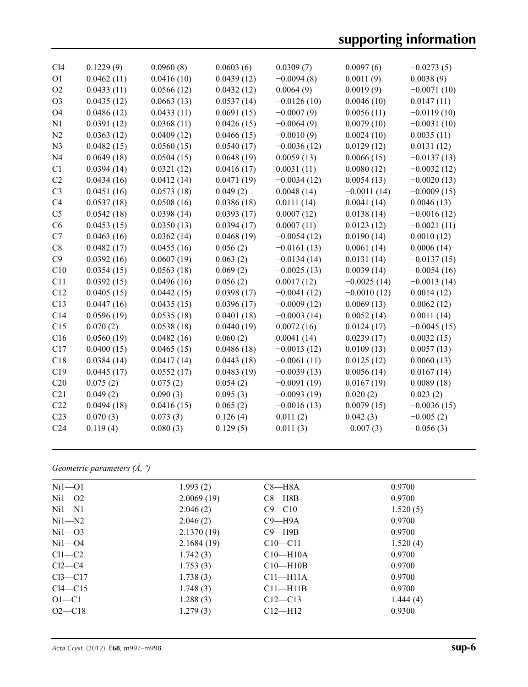| Cl4             | 0.1229(9)  | 0.0960(8)  | 0.0603(6)  | 0.0309(7)     | 0.0097(6)     | $-0.0273(5)$  |
|-----------------|------------|------------|------------|---------------|---------------|---------------|
| O <sub>1</sub>  | 0.0462(11) | 0.0416(10) | 0.0439(12) | $-0.0094(8)$  | 0.0011(9)     | 0.0038(9)     |
| O <sub>2</sub>  | 0.0433(11) | 0.0566(12) | 0.0432(12) | 0.0064(9)     | 0.0019(9)     | $-0.0071(10)$ |
| O <sub>3</sub>  | 0.0435(12) | 0.0663(13) | 0.0537(14) | $-0.0126(10)$ | 0.0046(10)    | 0.0147(11)    |
| O <sub>4</sub>  | 0.0486(12) | 0.0433(11) | 0.0691(15) | $-0.0007(9)$  | 0.0056(11)    | $-0.0119(10)$ |
| N1              | 0.0391(12) | 0.0368(11) | 0.0426(15) | $-0.0064(9)$  | 0.0079(10)    | $-0.0031(10)$ |
| N2              | 0.0363(12) | 0.0409(12) | 0.0466(15) | $-0.0010(9)$  | 0.0024(10)    | 0.0035(11)    |
| N <sub>3</sub>  | 0.0482(15) | 0.0560(15) | 0.0540(17) | $-0.0036(12)$ | 0.0129(12)    | 0.0131(12)    |
| N <sub>4</sub>  | 0.0649(18) | 0.0504(15) | 0.0648(19) | 0.0059(13)    | 0.0066(15)    | $-0.0137(13)$ |
| C1              | 0.0394(14) | 0.0321(12) | 0.0416(17) | 0.0031(11)    | 0.0080(12)    | $-0.0032(12)$ |
| C2              | 0.0434(16) | 0.0412(14) | 0.0471(19) | $-0.0034(12)$ | 0.0054(13)    | $-0.0020(13)$ |
| C <sub>3</sub>  | 0.0451(16) | 0.0573(18) | 0.049(2)   | 0.0048(14)    | $-0.0011(14)$ | $-0.0009(15)$ |
| C4              | 0.0537(18) | 0.0508(16) | 0.0386(18) | 0.0111(14)    | 0.0041(14)    | 0.0046(13)    |
| C <sub>5</sub>  | 0.0542(18) | 0.0398(14) | 0.0393(17) | 0.0007(12)    | 0.0138(14)    | $-0.0016(12)$ |
| C6              | 0.0453(15) | 0.0350(13) | 0.0394(17) | 0.0007(11)    | 0.0123(12)    | $-0.0021(11)$ |
| C7              | 0.0463(16) | 0.0362(14) | 0.0468(19) | $-0.0054(12)$ | 0.0190(14)    | 0.0010(12)    |
| C8              | 0.0482(17) | 0.0455(16) | 0.056(2)   | $-0.0161(13)$ | 0.0061(14)    | 0.0006(14)    |
| C9              | 0.0392(16) | 0.0607(19) | 0.063(2)   | $-0.0134(14)$ | 0.0131(14)    | $-0.0137(15)$ |
| C10             | 0.0354(15) | 0.0563(18) | 0.069(2)   | $-0.0025(13)$ | 0.0039(14)    | $-0.0054(16)$ |
| C11             | 0.0392(15) | 0.0496(16) | 0.056(2)   | 0.0017(12)    | $-0.0025(14)$ | $-0.0013(14)$ |
| C12             | 0.0405(15) | 0.0442(15) | 0.0398(17) | $-0.0041(12)$ | $-0.0010(12)$ | 0.0014(12)    |
| C13             | 0.0447(16) | 0.0435(15) | 0.0396(17) | $-0.0009(12)$ | 0.0069(13)    | 0.0062(12)    |
| C14             | 0.0596(19) | 0.0535(18) | 0.0401(18) | $-0.0003(14)$ | 0.0052(14)    | 0.0011(14)    |
| C15             | 0.070(2)   | 0.0538(18) | 0.0440(19) | 0.0072(16)    | 0.0124(17)    | $-0.0045(15)$ |
| C16             | 0.0560(19) | 0.0482(16) | 0.060(2)   | 0.0041(14)    | 0.0239(17)    | 0.0032(15)    |
| C17             | 0.0400(15) | 0.0465(15) | 0.0486(18) | $-0.0013(12)$ | 0.0109(13)    | 0.0057(13)    |
| C18             | 0.0384(14) | 0.0417(14) | 0.0443(18) | $-0.0061(11)$ | 0.0125(12)    | 0.0060(13)    |
| C19             | 0.0445(17) | 0.0552(17) | 0.0483(19) | $-0.0039(13)$ | 0.0056(14)    | 0.0167(14)    |
| C20             | 0.075(2)   | 0.075(2)   | 0.054(2)   | $-0.0091(19)$ | 0.0167(19)    | 0.0089(18)    |
| C21             | 0.049(2)   | 0.090(3)   | 0.095(3)   | $-0.0093(19)$ | 0.020(2)      | 0.023(2)      |
| C22             | 0.0494(18) | 0.0416(15) | 0.065(2)   | $-0.0016(13)$ | 0.0079(15)    | $-0.0036(15)$ |
| C <sub>23</sub> | 0.070(3)   | 0.073(3)   | 0.126(4)   | 0.011(2)      | 0.042(3)      | $-0.005(2)$   |
| C <sub>24</sub> | 0.119(4)   | 0.080(3)   | 0.129(5)   | 0.011(3)      | $-0.007(3)$   | $-0.056(3)$   |
|                 |            |            |            |               |               |               |

## *Geometric parameters (Å, º)*

| $Ni1-01$      | 1.993(2)   | $C8 - H8A$   | 0.9700   |
|---------------|------------|--------------|----------|
| $Ni1 - O2$    | 2.0069(19) | $C8 - H8B$   | 0.9700   |
| $Ni1 - N1$    | 2.046(2)   | $C9 - C10$   | 1.520(5) |
| $Ni1 - N2$    | 2.046(2)   | $C9 - H9A$   | 0.9700   |
| $Ni1 - O3$    | 2.1370(19) | $C9 - H9B$   | 0.9700   |
| $Ni1 - O4$    | 2.1684(19) | $C10-C11$    | 1.520(4) |
| $Cl1-C2$      | 1.742(3)   | $C10-H10A$   | 0.9700   |
| $Cl2-C4$      | 1.753(3)   | $C10-H10B$   | 0.9700   |
| $Cl3-C17$     | 1.738(3)   | $C11-H11A$   | 0.9700   |
| $Cl4$ — $Cl5$ | 1.748(3)   | $C11 - H11B$ | 0.9700   |
| $O1-C1$       | 1.288(3)   | $C12 - C13$  | 1.444(4) |
| $O2 - C18$    | 1.279(3)   | $C12$ —H12   | 0.9300   |
|               |            |              |          |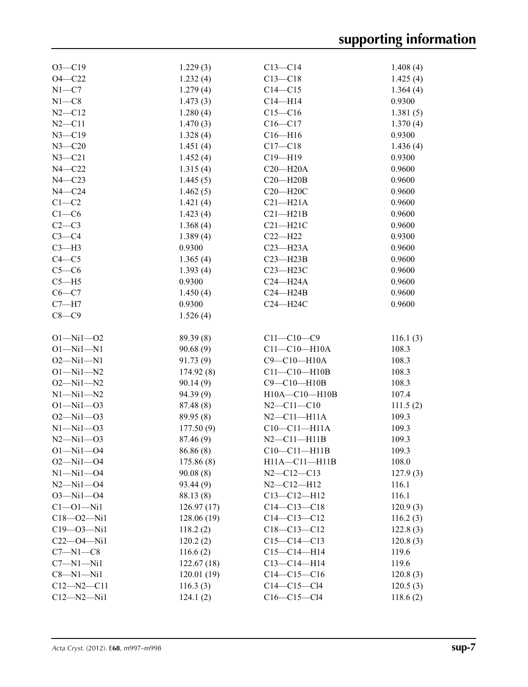| $O3 - C19$       | 1.229(3)    | $C13 - C14$         | 1.408(4) |
|------------------|-------------|---------------------|----------|
| $O4 - C22$       | 1.232(4)    | $C13 - C18$         | 1.425(4) |
| $N1 - C7$        | 1.279(4)    | $C14 - C15$         | 1.364(4) |
| $N1 - C8$        | 1.473(3)    | $C14 - H14$         | 0.9300   |
| $N2 - C12$       | 1.280(4)    | $C15-C16$           | 1.381(5) |
| $N2 - C11$       | 1.470(3)    | $C16-C17$           | 1.370(4) |
| $N3 - C19$       | 1.328(4)    | $C16 - H16$         | 0.9300   |
| $N3 - C20$       | 1.451(4)    | $C17 - C18$         | 1.436(4) |
| $N3 - C21$       | 1.452(4)    | $C19 - H19$         | 0.9300   |
| $N4 - C22$       | 1.315(4)    | $C20 - H20A$        | 0.9600   |
| $N4 - C23$       | 1.445(5)    | $C20 - H20B$        | 0.9600   |
| $N4 - C24$       | 1.462(5)    | $C20 - H20C$        | 0.9600   |
| $C1-C2$          | 1.421(4)    | $C21 - H21A$        | 0.9600   |
| $C1-C6$          | 1.423(4)    | $C21 - H21B$        | 0.9600   |
| $C2-C3$          | 1.368(4)    | $C21 - H21C$        | 0.9600   |
| $C3-C4$          |             |                     |          |
|                  | 1.389(4)    | $C22-H22$           | 0.9300   |
| $C3-H3$          | 0.9300      | $C23 - H23A$        | 0.9600   |
| $C4 - C5$        | 1.365(4)    | $C23 - H23B$        | 0.9600   |
| $C5-C6$          | 1.393(4)    | C23-H23C            | 0.9600   |
| $C5 - H5$        | 0.9300      | $C24 - H24A$        | 0.9600   |
| $C6-C7$          | 1.450(4)    | $C24 - H24B$        | 0.9600   |
| $C7 - H7$        | 0.9300      | $C24 - H24C$        | 0.9600   |
| $C8-C9$          | 1.526(4)    |                     |          |
|                  |             |                     |          |
| $O1 - Ni1 - O2$  | 89.39(8)    | $C11 - C10 - C9$    | 116.1(3) |
| $O1 - Ni1 - N1$  | 90.68(9)    | $C11 - C10 - H10A$  | 108.3    |
| $O2 - Ni1 - N1$  | 91.73(9)    | C9-C10-H10A         | 108.3    |
| $O1 - Ni1 - N2$  | 174.92(8)   | $C11 - C10 - H10B$  | 108.3    |
| $O2 - Ni1 - N2$  | 90.14(9)    | $C9-C10-H10B$       | 108.3    |
| $N1 - N11 - N2$  | 94.39 (9)   | H10A-C10-H10B       | 107.4    |
| $O1 - Ni1 - O3$  | 87.48(8)    | $N2 - C11 - C10$    | 111.5(2) |
| $O2 - Ni1 - O3$  | 89.95(8)    | $N2 - C11 - H11A$   | 109.3    |
| $N1 - N11 - 03$  | 177.50(9)   | $C10-C11-H11A$      | 109.3    |
| $N2 - N11 - O3$  | 87.46 (9)   | $N2 - C11 - H11B$   | 109.3    |
| $O1 - Ni1 - O4$  | 86.86 (8)   | $C10-C11-H11B$      | 109.3    |
| $O2 - Ni1 - O4$  | 175.86 (8)  | $H11A - C11 - H11B$ | 108.0    |
| $N1 - N11 - 04$  | 90.08(8)    | $N2 - C12 - C13$    | 127.9(3) |
| $N2 - N11 - 04$  | 93.44(9)    | $N2 - C12 - H12$    | 116.1    |
| $O3 - N11 - O4$  | 88.13 (8)   | $C13 - C12 - H12$   | 116.1    |
| $C1 - 01 - Ni1$  | 126.97(17)  | $C14 - C13 - C18$   | 120.9(3) |
| $C18 - 02 - Ni1$ | 128.06 (19) | $C14 - C13 - C12$   | 116.2(3) |
| $C19 - 03 - Ni1$ | 118.2(2)    | $C18 - C13 - C12$   | 122.8(3) |
| $C22 - O4 - N11$ | 120.2(2)    | $C15-C14-C13$       | 120.8(3) |
| $C7 - N1 - C8$   | 116.6(2)    | $C15-C14-H14$       | 119.6    |
| $C7 - N1 - N11$  |             | $C13 - C14 - H14$   | 119.6    |
|                  | 122.67(18)  |                     |          |
| $C8 - N1 - Ni1$  | 120.01(19)  | $C14 - C15 - C16$   | 120.8(3) |
| $C12 - N2 - C11$ | 116.3(3)    | $C14 - C15 - C14$   | 120.5(3) |
| $C12 - N2 - N11$ | 124.1(2)    | $C16 - C15 - C14$   | 118.6(2) |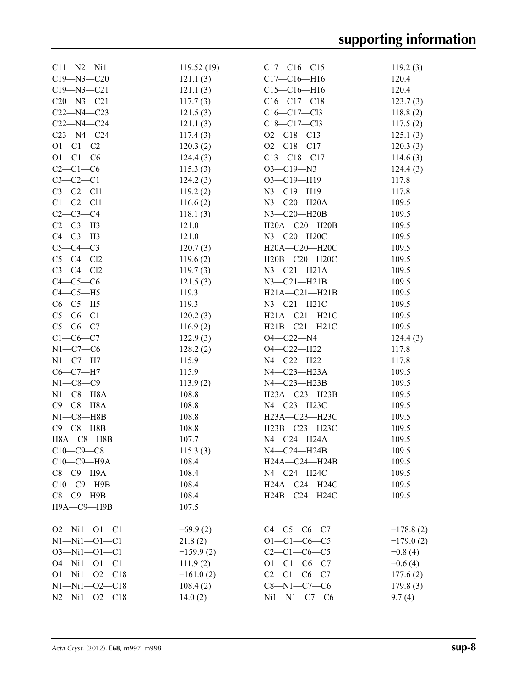| $C11 - N2 - N11$      | 119.52(19)  | $C17 - C16 - C15$                                    | 119.2(3)    |
|-----------------------|-------------|------------------------------------------------------|-------------|
| $C19 - N3 - C20$      | 121.1(3)    | $C17 - C16 - H16$                                    | 120.4       |
| $C19 - N3 - C21$      | 121.1(3)    | $C15 - C16 - H16$                                    | 120.4       |
| $C20 - N3 - C21$      | 117.7(3)    | $C16 - C17 - C18$                                    | 123.7(3)    |
| $C22 - N4 - C23$      | 121.5(3)    | $C16 - C17 - C13$                                    | 118.8(2)    |
| $C22 - N4 - C24$      | 121.1(3)    | $C18 - C17 - C13$                                    | 117.5(2)    |
| $C23 - N4 - C24$      | 117.4(3)    | $O2 - C18 - C13$                                     | 125.1(3)    |
| $O1 - C1 - C2$        | 120.3(2)    | $O2 - C18 - C17$                                     | 120.3(3)    |
| $O1 - C1 - C6$        | 124.4(3)    | $C13 - C18 - C17$                                    | 114.6(3)    |
| $C2-C1-C6$            | 115.3(3)    | $O3 - C19 - N3$                                      | 124.4(3)    |
| $C3-C2-C1$            | 124.2(3)    | O3-C19-H19                                           | 117.8       |
| $C3-C2-C11$           | 119.2(2)    | N3-C19-H19                                           | 117.8       |
| $C1-C2-C11$           | 116.6(2)    | N3-C20-H20A                                          | 109.5       |
| $C2-C3-C4$            | 118.1(3)    | N3-C20-H20B                                          | 109.5       |
| $C2-C3-H3$            | 121.0       | H20A-C20-H20B                                        | 109.5       |
| $C4-C3-H3$            | 121.0       | N3-C20-H20C                                          | 109.5       |
| $C5-C4-C3$            | 120.7(3)    | H20A-C20-H20C                                        | 109.5       |
| $C5-C4-C12$           | 119.6(2)    |                                                      | 109.5       |
|                       |             | H20B—C20—H20C<br>$N3 - C21 - H21A$                   |             |
| $C3-C4-C12$           | 119.7(3)    |                                                      | 109.5       |
| $C4-C5-C6$            | 121.5(3)    | $N3 - C21 - H21B$                                    | 109.5       |
| $C4-C5-H5$            | 119.3       | $H21A - C21 - H21B$                                  | 109.5       |
| $C6-C5-H5$            | 119.3       | $N3-C21-H21C$                                        | 109.5       |
| $C5-C6-C1$            | 120.2(3)    | $H21A - C21 - H21C$                                  | 109.5       |
| $C5-C6-C7$            | 116.9(2)    | $H21B - C21 - H21C$                                  | 109.5       |
| $C1 - C6 - C7$        | 122.9(3)    | O4—C22—N4                                            | 124.4(3)    |
| $N1-C7-C6$            | 128.2(2)    | O4-C22-H22                                           | 117.8       |
| $N1-C7-H7$            | 115.9       | N4-C22-H22                                           | 117.8       |
| $C6 - C7 - H7$        | 115.9       | N4-C23-H23A                                          | 109.5       |
| $N1 - C8 - C9$        | 113.9(2)    | N4-C23-H23B                                          | 109.5       |
| $N1-C8-H8A$           | 108.8       | H23A-C23-H23B                                        | 109.5       |
| $C9 - C8 - H8A$       | 108.8       | N4-C23-H23C                                          | 109.5       |
| $N1-C8-H8B$           | 108.8       | H23A-C23-H23C                                        | 109.5       |
| $C9 - C8 - H8B$       | 108.8       | H23B-C23-H23C                                        | 109.5       |
| $H8A - C8 - H8B$      | 107.7       | N4-C24-H24A                                          | 109.5       |
| $C10-C9-C8$           | 115.3(3)    | N4-C24-H24B                                          | 109.5       |
| $C10-C9-$ H9A         | 108.4       | $H24A - C24 - H24B$                                  | 109.5       |
| $C8-C9-H9A$           | 108.4       | N4-C24-H24C                                          | 109.5       |
| $C10-C9$ -H9B         | 108.4       | H <sub>24</sub> A-C <sub>24</sub> -H <sub>24</sub> C | 109.5       |
| $C8-C9$ -H9B          | 108.4       | H24B-C24-H24C                                        | 109.5       |
| Н9А-С9-Н9В            | 107.5       |                                                      |             |
|                       |             |                                                      |             |
| $O2 - Ni1 - O1 - C1$  | $-69.9(2)$  | $C4-C5-C6-C7$                                        | $-178.8(2)$ |
| $N1 - N11 - O1 - C1$  | 21.8(2)     | $O1 - C1 - C6 - C5$                                  | $-179.0(2)$ |
| $O3 - Ni1 - O1 - C1$  | $-159.9(2)$ | $C2-C1-C6-C5$                                        | $-0.8(4)$   |
| $O4 - Ni1 - O1 - C1$  | 111.9(2)    | $O1 - C1 - C6 - C7$                                  | $-0.6(4)$   |
| $O1 - Nil - O2 - C18$ | $-161.0(2)$ | $C2 - C1 - C6 - C7$                                  | 177.6(2)    |
| $N1 - N11 - 02 - C18$ | 108.4(2)    | $C8 - N1 - C7 - C6$                                  | 179.8(3)    |
| $N2 - Ni1 - O2 - C18$ | 14.0(2)     | $Ni1 - N1 - C7 - C6$                                 | 9.7(4)      |